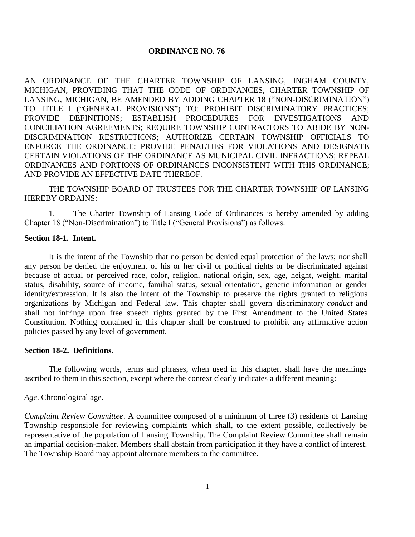#### **ORDINANCE NO. 76**

AN ORDINANCE OF THE CHARTER TOWNSHIP OF LANSING, INGHAM COUNTY, MICHIGAN, PROVIDING THAT THE CODE OF ORDINANCES, CHARTER TOWNSHIP OF LANSING, MICHIGAN, BE AMENDED BY ADDING CHAPTER 18 ("NON-DISCRIMINATION") TO TITLE I ("GENERAL PROVISIONS") TO: PROHIBIT DISCRIMINATORY PRACTICES; PROVIDE DEFINITIONS; ESTABLISH PROCEDURES FOR INVESTIGATIONS AND CONCILIATION AGREEMENTS; REQUIRE TOWNSHIP CONTRACTORS TO ABIDE BY NON-DISCRIMINATION RESTRICTIONS; AUTHORIZE CERTAIN TOWNSHIP OFFICIALS TO ENFORCE THE ORDINANCE; PROVIDE PENALTIES FOR VIOLATIONS AND DESIGNATE CERTAIN VIOLATIONS OF THE ORDINANCE AS MUNICIPAL CIVIL INFRACTIONS; REPEAL ORDINANCES AND PORTIONS OF ORDINANCES INCONSISTENT WITH THIS ORDINANCE; AND PROVIDE AN EFFECTIVE DATE THEREOF.

THE TOWNSHIP BOARD OF TRUSTEES FOR THE CHARTER TOWNSHIP OF LANSING HEREBY ORDAINS:

1. The Charter Township of Lansing Code of Ordinances is hereby amended by adding Chapter 18 ("Non-Discrimination") to Title I ("General Provisions") as follows:

#### **Section 18-1. Intent.**

It is the intent of the Township that no person be denied equal protection of the laws; nor shall any person be denied the enjoyment of his or her civil or political rights or be discriminated against because of actual or perceived race, color, religion, national origin, sex, age, height, weight, marital status, disability, source of income, familial status, sexual orientation, genetic information or gender identity/expression. It is also the intent of the Township to preserve the rights granted to religious organizations by Michigan and Federal law. This chapter shall govern discriminatory *conduct* and shall not infringe upon free speech rights granted by the First Amendment to the United States Constitution. Nothing contained in this chapter shall be construed to prohibit any affirmative action policies passed by any level of government.

#### **Section 18-2. Definitions.**

The following words, terms and phrases, when used in this chapter, shall have the meanings ascribed to them in this section, except where the context clearly indicates a different meaning:

*Age*. Chronological age.

*Complaint Review Committee*. A committee composed of a minimum of three (3) residents of Lansing Township responsible for reviewing complaints which shall, to the extent possible, collectively be representative of the population of Lansing Township. The Complaint Review Committee shall remain an impartial decision-maker. Members shall abstain from participation if they have a conflict of interest. The Township Board may appoint alternate members to the committee.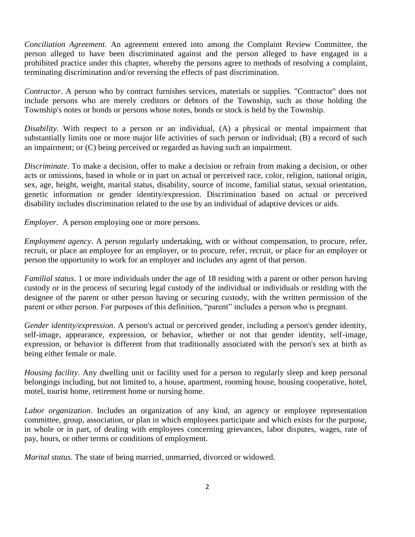*Conciliation Agreement*. An agreement entered into among the Complaint Review Committee, the person alleged to have been discriminated against and the person alleged to have engaged in a prohibited practice under this chapter, whereby the persons agree to methods of resolving a complaint, terminating discrimination and/or reversing the effects of past discrimination.

*Contractor*. A person who by contract furnishes services, materials or supplies. "Contractor'' does not include persons who are merely creditors or debtors of the Township, such as those holding the Township's notes or bonds or persons whose notes, bonds or stock is held by the Township.

*Disability*. With respect to a person or an individual, (A) a physical or mental impairment that substantially limits one or more major life activities of such person or individual; (B) a record of such an impairment; or (C) being perceived or regarded as having such an impairment.

*Discriminate*. To make a decision, offer to make a decision or refrain from making a decision, or other acts or omissions, based in whole or in part on actual or perceived race, color, religion, national origin, sex, age, height, weight, marital status, disability, source of income, familial status, sexual orientation, genetic information or gender identity/expression. Discrimination based on actual or perceived disability includes discrimination related to the use by an individual of adaptive devices or aids.

*Employer*. A person employing one or more persons.

*Employment agency*. A person regularly undertaking, with or without compensation, to procure, refer, recruit, or place an employee for an employer, or to procure, refer, recruit, or place for an employer or person the opportunity to work for an employer and includes any agent of that person.

*Familial status*. 1 or more individuals under the age of 18 residing with a parent or other person having custody or in the process of securing legal custody of the individual or individuals or residing with the designee of the parent or other person having or securing custody, with the written permission of the parent or other person. For purposes of this definition, "parent" includes a person who is pregnant.

*Gender identity/expression*. A person's actual or perceived gender, including a person's gender identity, self-image, appearance, expression, or behavior, whether or not that gender identity, self-image, expression, or behavior is different from that traditionally associated with the person's sex at birth as being either female or male.

*Housing facility*. Any dwelling unit or facility used for a person to regularly sleep and keep personal belongings including, but not limited to, a house, apartment, rooming house, housing cooperative, hotel, motel, tourist home, retirement home or nursing home.

*Labor organization*. Includes an organization of any kind, an agency or employee representation committee, group, association, or plan in which employees participate and which exists for the purpose, in whole or in part, of dealing with employees concerning grievances, labor disputes, wages, rate of pay, hours, or other terms or conditions of employment.

*Marital status*. The state of being married, unmarried, divorced or widowed.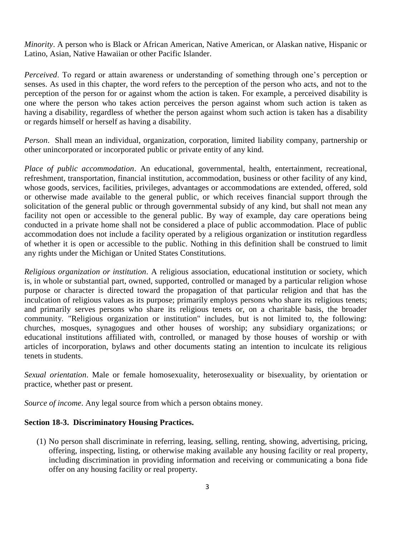*Minority*. A person who is Black or African American, Native American, or Alaskan native, Hispanic or Latino, Asian, Native Hawaiian or other Pacific Islander.

*Perceived*. To regard or attain awareness or understanding of something through one's perception or senses. As used in this chapter, the word refers to the perception of the person who acts, and not to the perception of the person for or against whom the action is taken. For example, a perceived disability is one where the person who takes action perceives the person against whom such action is taken as having a disability, regardless of whether the person against whom such action is taken has a disability or regards himself or herself as having a disability.

*Person*. Shall mean an individual, organization, corporation, limited liability company, partnership or other unincorporated or incorporated public or private entity of any kind.

*Place of public accommodation*. An educational, governmental, health, entertainment, recreational, refreshment, transportation, financial institution, accommodation, business or other facility of any kind, whose goods, services, facilities, privileges, advantages or accommodations are extended, offered, sold or otherwise made available to the general public, or which receives financial support through the solicitation of the general public or through governmental subsidy of any kind, but shall not mean any facility not open or accessible to the general public. By way of example, day care operations being conducted in a private home shall not be considered a place of public accommodation. Place of public accommodation does not include a facility operated by a religious organization or institution regardless of whether it is open or accessible to the public. Nothing in this definition shall be construed to limit any rights under the Michigan or United States Constitutions.

*Religious organization or institution*. A religious association, educational institution or society, which is, in whole or substantial part, owned, supported, controlled or managed by a particular religion whose purpose or character is directed toward the propagation of that particular religion and that has the inculcation of religious values as its purpose; primarily employs persons who share its religious tenets; and primarily serves persons who share its religious tenets or, on a charitable basis, the broader community. "Religious organization or institution" includes, but is not limited to, the following: churches, mosques, synagogues and other houses of worship; any subsidiary organizations; or educational institutions affiliated with, controlled, or managed by those houses of worship or with articles of incorporation, bylaws and other documents stating an intention to inculcate its religious tenets in students.

*Sexual orientation*. Male or female homosexuality, heterosexuality or bisexuality, by orientation or practice, whether past or present.

*Source of income*. Any legal source from which a person obtains money.

# **Section 18-3. Discriminatory Housing Practices.**

(1) No person shall discriminate in referring, leasing, selling, renting, showing, advertising, pricing, offering, inspecting, listing, or otherwise making available any housing facility or real property, including discrimination in providing information and receiving or communicating a bona fide offer on any housing facility or real property.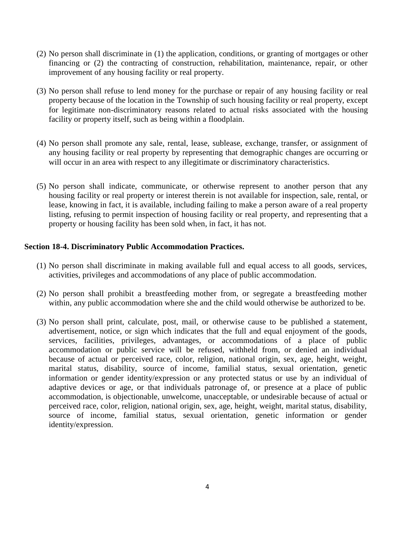- (2) No person shall discriminate in (1) the application, conditions, or granting of mortgages or other financing or (2) the contracting of construction, rehabilitation, maintenance, repair, or other improvement of any housing facility or real property.
- (3) No person shall refuse to lend money for the purchase or repair of any housing facility or real property because of the location in the Township of such housing facility or real property, except for legitimate non-discriminatory reasons related to actual risks associated with the housing facility or property itself, such as being within a floodplain.
- (4) No person shall promote any sale, rental, lease, sublease, exchange, transfer, or assignment of any housing facility or real property by representing that demographic changes are occurring or will occur in an area with respect to any illegitimate or discriminatory characteristics.
- (5) No person shall indicate, communicate, or otherwise represent to another person that any housing facility or real property or interest therein is not available for inspection, sale, rental, or lease, knowing in fact, it is available, including failing to make a person aware of a real property listing, refusing to permit inspection of housing facility or real property, and representing that a property or housing facility has been sold when, in fact, it has not.

# **Section 18-4. Discriminatory Public Accommodation Practices.**

- (1) No person shall discriminate in making available full and equal access to all goods, services, activities, privileges and accommodations of any place of public accommodation.
- (2) No person shall prohibit a breastfeeding mother from, or segregate a breastfeeding mother within, any public accommodation where she and the child would otherwise be authorized to be.
- (3) No person shall print, calculate, post, mail, or otherwise cause to be published a statement, advertisement, notice, or sign which indicates that the full and equal enjoyment of the goods, services, facilities, privileges, advantages, or accommodations of a place of public accommodation or public service will be refused, withheld from, or denied an individual because of actual or perceived race, color, religion, national origin, sex, age, height, weight, marital status, disability, source of income, familial status, sexual orientation, genetic information or gender identity/expression or any protected status or use by an individual of adaptive devices or age, or that individuals patronage of, or presence at a place of public accommodation, is objectionable, unwelcome, unacceptable, or undesirable because of actual or perceived race, color, religion, national origin, sex, age, height, weight, marital status, disability, source of income, familial status, sexual orientation, genetic information or gender identity/expression.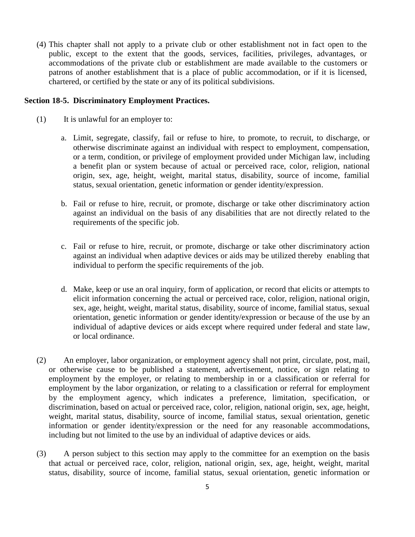(4) This chapter shall not apply to a private club or other establishment not in fact open to the public, except to the extent that the goods, services, facilities, privileges, advantages, or accommodations of the private club or establishment are made available to the customers or patrons of another establishment that is a place of public accommodation, or if it is licensed, chartered, or certified by the state or any of its political subdivisions.

### **Section 18-5. Discriminatory Employment Practices.**

- (1) It is unlawful for an employer to:
	- a. Limit, segregate, classify, fail or refuse to hire, to promote, to recruit, to discharge, or otherwise discriminate against an individual with respect to employment, compensation, or a term, condition, or privilege of employment provided under Michigan law, including a benefit plan or system because of actual or perceived race, color, religion, national origin, sex, age, height, weight, marital status, disability, source of income, familial status, sexual orientation, genetic information or gender identity/expression.
	- b. Fail or refuse to hire, recruit, or promote, discharge or take other discriminatory action against an individual on the basis of any disabilities that are not directly related to the requirements of the specific job.
	- c. Fail or refuse to hire, recruit, or promote, discharge or take other discriminatory action against an individual when adaptive devices or aids may be utilized thereby enabling that individual to perform the specific requirements of the job.
	- d. Make, keep or use an oral inquiry, form of application, or record that elicits or attempts to elicit information concerning the actual or perceived race, color, religion, national origin, sex, age, height, weight, marital status, disability, source of income, familial status, sexual orientation, genetic information or gender identity/expression or because of the use by an individual of adaptive devices or aids except where required under federal and state law, or local ordinance.
- (2) An employer, labor organization, or employment agency shall not print, circulate, post, mail, or otherwise cause to be published a statement, advertisement, notice, or sign relating to employment by the employer, or relating to membership in or a classification or referral for employment by the labor organization, or relating to a classification or referral for employment by the employment agency, which indicates a preference, limitation, specification, or discrimination, based on actual or perceived race, color, religion, national origin, sex, age, height, weight, marital status, disability, source of income, familial status, sexual orientation, genetic information or gender identity/expression or the need for any reasonable accommodations, including but not limited to the use by an individual of adaptive devices or aids.
- (3) A person subject to this section may apply to the committee for an exemption on the basis that actual or perceived race, color, religion, national origin, sex, age, height, weight, marital status, disability, source of income, familial status, sexual orientation, genetic information or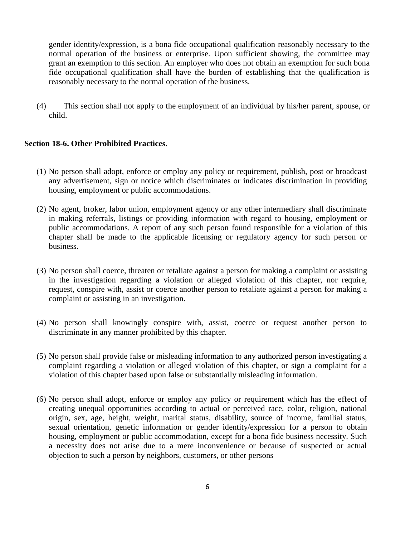gender identity/expression, is a bona fide occupational qualification reasonably necessary to the normal operation of the business or enterprise. Upon sufficient showing, the committee may grant an exemption to this section. An employer who does not obtain an exemption for such bona fide occupational qualification shall have the burden of establishing that the qualification is reasonably necessary to the normal operation of the business.

(4) This section shall not apply to the employment of an individual by his/her parent, spouse, or child.

# **Section 18-6. Other Prohibited Practices.**

- (1) No person shall adopt, enforce or employ any policy or requirement, publish, post or broadcast any advertisement, sign or notice which discriminates or indicates discrimination in providing housing, employment or public accommodations.
- (2) No agent, broker, labor union, employment agency or any other intermediary shall discriminate in making referrals, listings or providing information with regard to housing, employment or public accommodations. A report of any such person found responsible for a violation of this chapter shall be made to the applicable licensing or regulatory agency for such person or business.
- (3) No person shall coerce, threaten or retaliate against a person for making a complaint or assisting in the investigation regarding a violation or alleged violation of this chapter, nor require, request, conspire with, assist or coerce another person to retaliate against a person for making a complaint or assisting in an investigation.
- (4) No person shall knowingly conspire with, assist, coerce or request another person to discriminate in any manner prohibited by this chapter.
- (5) No person shall provide false or misleading information to any authorized person investigating a complaint regarding a violation or alleged violation of this chapter, or sign a complaint for a violation of this chapter based upon false or substantially misleading information.
- (6) No person shall adopt, enforce or employ any policy or requirement which has the effect of creating unequal opportunities according to actual or perceived race, color, religion, national origin, sex, age, height, weight, marital status, disability, source of income, familial status, sexual orientation, genetic information or gender identity/expression for a person to obtain housing, employment or public accommodation, except for a bona fide business necessity. Such a necessity does not arise due to a mere inconvenience or because of suspected or actual objection to such a person by neighbors, customers, or other persons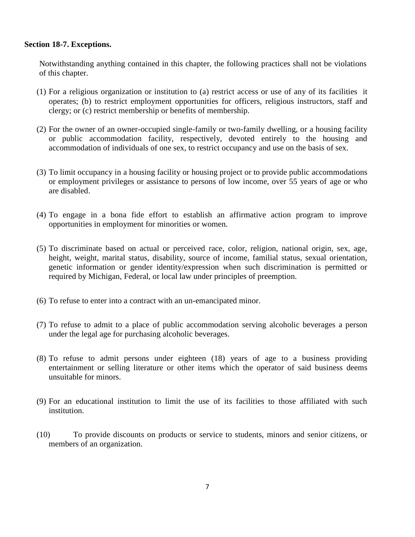## **Section 18-7. Exceptions.**

Notwithstanding anything contained in this chapter, the following practices shall not be violations of this chapter.

- (1) For a religious organization or institution to (a) restrict access or use of any of its facilities it operates; (b) to restrict employment opportunities for officers, religious instructors, staff and clergy; or (c) restrict membership or benefits of membership.
- (2) For the owner of an owner-occupied single-family or two-family dwelling, or a housing facility or public accommodation facility, respectively, devoted entirely to the housing and accommodation of individuals of one sex, to restrict occupancy and use on the basis of sex.
- (3) To limit occupancy in a housing facility or housing project or to provide public accommodations or employment privileges or assistance to persons of low income, over 55 years of age or who are disabled.
- (4) To engage in a bona fide effort to establish an affirmative action program to improve opportunities in employment for minorities or women.
- (5) To discriminate based on actual or perceived race, color, religion, national origin, sex, age, height, weight, marital status, disability, source of income, familial status, sexual orientation, genetic information or gender identity/expression when such discrimination is permitted or required by Michigan, Federal, or local law under principles of preemption.
- (6) To refuse to enter into a contract with an un-emancipated minor.
- (7) To refuse to admit to a place of public accommodation serving alcoholic beverages a person under the legal age for purchasing alcoholic beverages.
- (8) To refuse to admit persons under eighteen (18) years of age to a business providing entertainment or selling literature or other items which the operator of said business deems unsuitable for minors.
- (9) For an educational institution to limit the use of its facilities to those affiliated with such institution.
- (10) To provide discounts on products or service to students, minors and senior citizens, or members of an organization.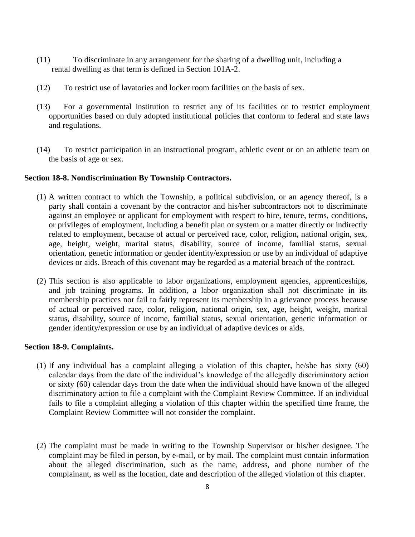- (11) To discriminate in any arrangement for the sharing of a dwelling unit, including a rental dwelling as that term is defined in Section 101A-2.
- (12) To restrict use of lavatories and locker room facilities on the basis of sex.
- (13) For a governmental institution to restrict any of its facilities or to restrict employment opportunities based on duly adopted institutional policies that conform to federal and state laws and regulations.
- (14) To restrict participation in an instructional program, athletic event or on an athletic team on the basis of age or sex.

### **Section 18-8. Nondiscrimination By Township Contractors.**

- (1) A written contract to which the Township, a political subdivision, or an agency thereof, is a party shall contain a covenant by the contractor and his/her subcontractors not to discriminate against an employee or applicant for employment with respect to hire, tenure, terms, conditions, or privileges of employment, including a benefit plan or system or a matter directly or indirectly related to employment, because of actual or perceived race, color, religion, national origin, sex, age, height, weight, marital status, disability, source of income, familial status, sexual orientation, genetic information or gender identity/expression or use by an individual of adaptive devices or aids. Breach of this covenant may be regarded as a material breach of the contract.
- (2) This section is also applicable to labor organizations, employment agencies, apprenticeships, and job training programs. In addition, a labor organization shall not discriminate in its membership practices nor fail to fairly represent its membership in a grievance process because of actual or perceived race, color, religion, national origin, sex, age, height, weight, marital status, disability, source of income, familial status, sexual orientation, genetic information or gender identity/expression or use by an individual of adaptive devices or aids.

#### **Section 18-9. Complaints.**

- (1) If any individual has a complaint alleging a violation of this chapter, he/she has sixty (60) calendar days from the date of the individual's knowledge of the allegedly discriminatory action or sixty (60) calendar days from the date when the individual should have known of the alleged discriminatory action to file a complaint with the Complaint Review Committee. If an individual fails to file a complaint alleging a violation of this chapter within the specified time frame, the Complaint Review Committee will not consider the complaint.
- (2) The complaint must be made in writing to the Township Supervisor or his/her designee. The complaint may be filed in person, by e-mail, or by mail. The complaint must contain information about the alleged discrimination, such as the name, address, and phone number of the complainant, as well as the location, date and description of the alleged violation of this chapter.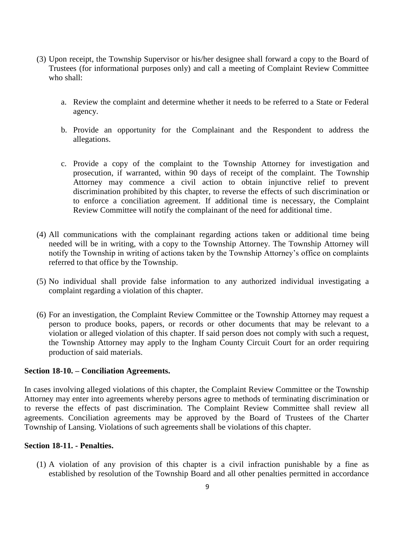- (3) Upon receipt, the Township Supervisor or his/her designee shall forward a copy to the Board of Trustees (for informational purposes only) and call a meeting of Complaint Review Committee who shall:
	- a. Review the complaint and determine whether it needs to be referred to a State or Federal agency.
	- b. Provide an opportunity for the Complainant and the Respondent to address the allegations.
	- c. Provide a copy of the complaint to the Township Attorney for investigation and prosecution, if warranted, within 90 days of receipt of the complaint. The Township Attorney may commence a civil action to obtain injunctive relief to prevent discrimination prohibited by this chapter, to reverse the effects of such discrimination or to enforce a conciliation agreement. If additional time is necessary, the Complaint Review Committee will notify the complainant of the need for additional time.
- (4) All communications with the complainant regarding actions taken or additional time being needed will be in writing, with a copy to the Township Attorney. The Township Attorney will notify the Township in writing of actions taken by the Township Attorney's office on complaints referred to that office by the Township.
- (5) No individual shall provide false information to any authorized individual investigating a complaint regarding a violation of this chapter.
- (6) For an investigation, the Complaint Review Committee or the Township Attorney may request a person to produce books, papers, or records or other documents that may be relevant to a violation or alleged violation of this chapter. If said person does not comply with such a request, the Township Attorney may apply to the Ingham County Circuit Court for an order requiring production of said materials.

# **Section 18-10. – Conciliation Agreements.**

In cases involving alleged violations of this chapter, the Complaint Review Committee or the Township Attorney may enter into agreements whereby persons agree to methods of terminating discrimination or to reverse the effects of past discrimination. The Complaint Review Committee shall review all agreements. Conciliation agreements may be approved by the Board of Trustees of the Charter Township of Lansing. Violations of such agreements shall be violations of this chapter.

#### **Section 18-11. - Penalties.**

(1) A violation of any provision of this chapter is a civil infraction punishable by a fine as established by resolution of the Township Board and all other penalties permitted in accordance